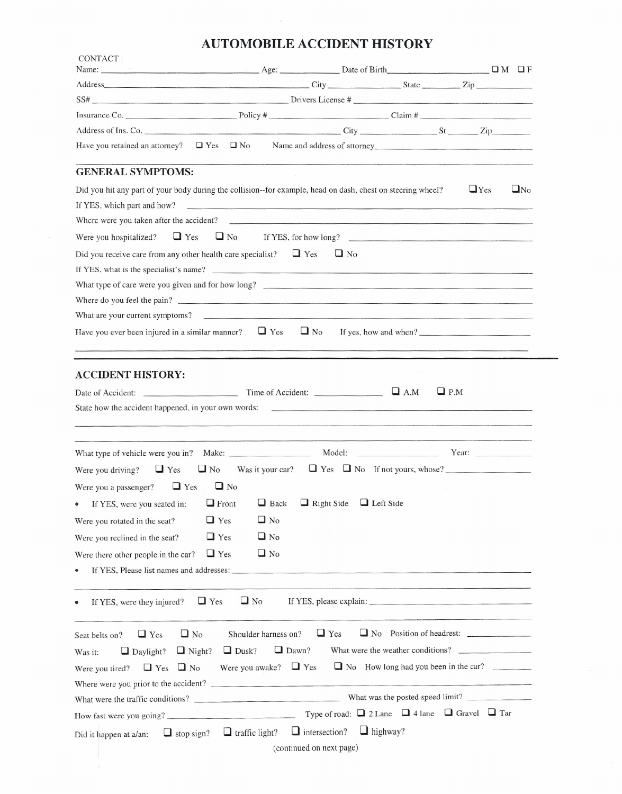## **AUTOMOBILE ACCIDENT HISTORY**

 $\sim$  8

|                                                                                                                                                                                                                                                                                         |                                                                              |            |                                                                                                                                                                                                                                | Name: $\Box$ M $\Box$ F                                                                                                                 |
|-----------------------------------------------------------------------------------------------------------------------------------------------------------------------------------------------------------------------------------------------------------------------------------------|------------------------------------------------------------------------------|------------|--------------------------------------------------------------------------------------------------------------------------------------------------------------------------------------------------------------------------------|-----------------------------------------------------------------------------------------------------------------------------------------|
|                                                                                                                                                                                                                                                                                         |                                                                              |            |                                                                                                                                                                                                                                |                                                                                                                                         |
|                                                                                                                                                                                                                                                                                         |                                                                              |            |                                                                                                                                                                                                                                |                                                                                                                                         |
| Insurance Co. $\qquad \qquad \text{Policy } # \qquad \qquad \text{Clain } # \qquad \qquad \text{Claim } # \qquad \qquad$                                                                                                                                                                |                                                                              |            |                                                                                                                                                                                                                                |                                                                                                                                         |
|                                                                                                                                                                                                                                                                                         |                                                                              |            |                                                                                                                                                                                                                                |                                                                                                                                         |
| Have you retained an attorney? $\Box$ Yes $\Box$ No Name and address of attorney                                                                                                                                                                                                        |                                                                              |            |                                                                                                                                                                                                                                |                                                                                                                                         |
|                                                                                                                                                                                                                                                                                         |                                                                              |            |                                                                                                                                                                                                                                |                                                                                                                                         |
| <b>GENERAL SYMPTOMS:</b>                                                                                                                                                                                                                                                                |                                                                              |            |                                                                                                                                                                                                                                |                                                                                                                                         |
| Did you hit any part of your body during the collision--for example, head on dash, chest on steering wheel?                                                                                                                                                                             |                                                                              |            |                                                                                                                                                                                                                                | $\sqcup$ Yes<br>$\Box$ No                                                                                                               |
| If YES, which part and how?                                                                                                                                                                                                                                                             |                                                                              |            |                                                                                                                                                                                                                                |                                                                                                                                         |
|                                                                                                                                                                                                                                                                                         |                                                                              |            |                                                                                                                                                                                                                                |                                                                                                                                         |
|                                                                                                                                                                                                                                                                                         |                                                                              |            |                                                                                                                                                                                                                                |                                                                                                                                         |
| Did you receive care from any other health care specialist? $\Box$ Yes                                                                                                                                                                                                                  |                                                                              | $\Box$ No  |                                                                                                                                                                                                                                |                                                                                                                                         |
| If YES, what is the specialist's name?                                                                                                                                                                                                                                                  |                                                                              |            |                                                                                                                                                                                                                                |                                                                                                                                         |
| What type of care were you given and for how long?                                                                                                                                                                                                                                      |                                                                              |            |                                                                                                                                                                                                                                |                                                                                                                                         |
| Where do you feel the pain?                                                                                                                                                                                                                                                             |                                                                              |            |                                                                                                                                                                                                                                |                                                                                                                                         |
|                                                                                                                                                                                                                                                                                         |                                                                              |            |                                                                                                                                                                                                                                |                                                                                                                                         |
| Have you ever been injured in a similar manner? $\Box$ Yes                                                                                                                                                                                                                              |                                                                              | $\Box$ No  |                                                                                                                                                                                                                                | If yes, how and when?                                                                                                                   |
|                                                                                                                                                                                                                                                                                         |                                                                              |            |                                                                                                                                                                                                                                |                                                                                                                                         |
|                                                                                                                                                                                                                                                                                         |                                                                              |            | state of the control of the control of the control of the control of the control of the control of the control of the control of the control of the control of the control of the control of the control of the control of the |                                                                                                                                         |
|                                                                                                                                                                                                                                                                                         |                                                                              |            |                                                                                                                                                                                                                                |                                                                                                                                         |
|                                                                                                                                                                                                                                                                                         |                                                                              |            |                                                                                                                                                                                                                                |                                                                                                                                         |
|                                                                                                                                                                                                                                                                                         |                                                                              |            |                                                                                                                                                                                                                                |                                                                                                                                         |
|                                                                                                                                                                                                                                                                                         | $\Box$ No                                                                    |            |                                                                                                                                                                                                                                |                                                                                                                                         |
|                                                                                                                                                                                                                                                                                         |                                                                              |            |                                                                                                                                                                                                                                |                                                                                                                                         |
|                                                                                                                                                                                                                                                                                         | $\Box$ No                                                                    |            |                                                                                                                                                                                                                                |                                                                                                                                         |
| $\sqcup$ Yes                                                                                                                                                                                                                                                                            |                                                                              |            |                                                                                                                                                                                                                                |                                                                                                                                         |
| $\sqcup$ Yes                                                                                                                                                                                                                                                                            | $\Box$ No                                                                    |            |                                                                                                                                                                                                                                |                                                                                                                                         |
| $\Box$ Yes                                                                                                                                                                                                                                                                              | $\Box$ No                                                                    |            |                                                                                                                                                                                                                                |                                                                                                                                         |
| Were you driving? $\Box$ Yes $\Box$ No<br>Were you a passenger? $\Box$ Yes<br>• If YES, were you seated in: $\Box$ Front $\Box$ Back $\Box$ Right Side $\Box$ Left Side<br>Were you rotated in the seat?<br>Were you reclined in the seat?<br>Were there other people in the car?       |                                                                              |            |                                                                                                                                                                                                                                |                                                                                                                                         |
|                                                                                                                                                                                                                                                                                         |                                                                              |            |                                                                                                                                                                                                                                |                                                                                                                                         |
| $\Box$ Yes<br>If YES, were they injured?                                                                                                                                                                                                                                                | $\Box$ No                                                                    |            |                                                                                                                                                                                                                                |                                                                                                                                         |
|                                                                                                                                                                                                                                                                                         | Shoulder harness on?                                                         |            |                                                                                                                                                                                                                                |                                                                                                                                         |
| $\Box$ No<br>$\Box$ Yes                                                                                                                                                                                                                                                                 |                                                                              | $\Box$ Yes |                                                                                                                                                                                                                                |                                                                                                                                         |
| $\Box$ Daylight?<br>$\Box$ Night?                                                                                                                                                                                                                                                       | $\Box$ Dawn?<br>$\Box$ Dusk?                                                 |            |                                                                                                                                                                                                                                |                                                                                                                                         |
| $\Box$ Yes $\Box$ No                                                                                                                                                                                                                                                                    | Were you awake? $\Box$ Yes                                                   |            |                                                                                                                                                                                                                                |                                                                                                                                         |
|                                                                                                                                                                                                                                                                                         |                                                                              |            |                                                                                                                                                                                                                                |                                                                                                                                         |
|                                                                                                                                                                                                                                                                                         |                                                                              |            |                                                                                                                                                                                                                                |                                                                                                                                         |
| Seat belts on?<br>Was it:<br>Were you tired?<br>Where were you prior to the accident?<br>What were the traffic conditions?<br>What was the posted speed limit?<br>How fast were you going? Type of road: $\Box$ 2 Lane $\Box$ 4 lane $\Box$ Gravel $\Box$ Tar<br>Did it happen at a/an: | $\Box$ stop sign? $\Box$ traffic light? $\Box$ intersection? $\Box$ highway? |            |                                                                                                                                                                                                                                | Was it your car? $\Box$ Yes $\Box$ No If not yours, whose?<br>What were the weather conditions?<br>No How long had you been in the car? |